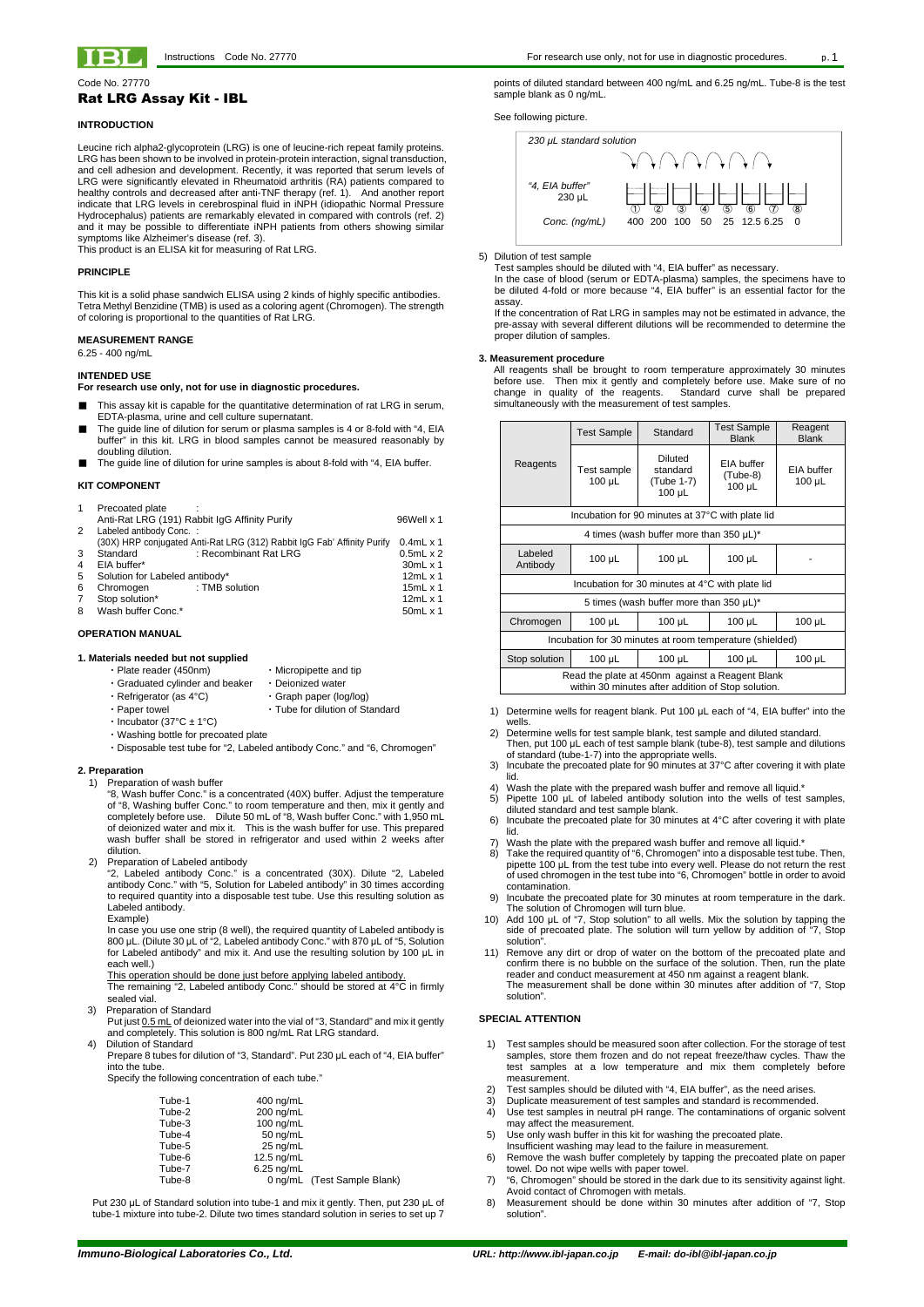

Code No. 27770

# Rat LRG Assay Kit - IBL

## **INTRODUCTION**

Leucine rich alpha2-glycoprotein (LRG) is one of leucine-rich repeat family proteins. LRG has been shown to be involved in protein-protein interaction, signal transduction, and cell adhesion and development. Recently, it was reported that serum levels of LRG were significantly elevated in Rheumatoid arthritis (RA) patients compared to healthy controls and decreased after anti-TNF therapy (ref. 1). And another report indicate that LRG levels in cerebrospinal fluid in iNPH (idiopathic Normal Pressure Hydrocephalus) patients are remarkably elevated in compared with controls (ref. 2) and it may be possible to differentiate iNPH patients from others showing similar symptoms like Alzheimer's disease (ref. 3).

This product is an ELISA kit for measuring of Rat LRG.

## **PRINCIPLE**

This kit is a solid phase sandwich ELISA using 2 kinds of highly specific antibodies. Tetra Methyl Benzidine (TMB) is used as a coloring agent (Chromogen). The strength of coloring is proportional to the quantities of Rat LRG.

## **MEASUREMENT RANGE**

- Plate reader (450nm) Micropipette and tip
- ・Graduated cylinder and beaker ・Deionized water
- Refrigerator (as 4°C) Graph paper (log/log)
- ・Paper towel **・ Tube for dilution of Standard**
- Incubator (37°C  $\pm$  1°C)
- ・Washing bottle for precoated plate
- ・Disposable test tube for "2, Labeled antibody Conc." and "6, Chromogen"

6.25 - 400 ng/mL

## **INTENDED USE**

**For research use only, not for use in diagnostic procedures.**

- This assay kit is capable for the quantitative determination of rat LRG in serum, EDTA-plasma, urine and cell culture supernatant.
- The quide line of dilution for serum or plasma samples is 4 or 8-fold with "4, EIA buffer" in this kit. LRG in blood samples cannot be measured reasonably by doubling dilution.
- The guide line of dilution for urine samples is about 8-fold with "4, EIA buffer.

## **KIT COMPONENT**

| 1 | Precoated plate                |                                                                         |                     |
|---|--------------------------------|-------------------------------------------------------------------------|---------------------|
|   |                                | Anti-Rat LRG (191) Rabbit IgG Affinity Purify                           | 96Well x 1          |
| 2 | Labeled antibody Conc.:        |                                                                         |                     |
|   |                                | (30X) HRP conjugated Anti-Rat LRG (312) Rabbit IgG Fab' Affinity Purify | $0.4$ mL $\times$ 1 |
| 3 | Standard                       | : Recombinant Rat LRG                                                   | $0.5mL \times 2$    |
| 4 | EIA buffer*                    |                                                                         | 30mL x 1            |
| 5 | Solution for Labeled antibody* |                                                                         | $12ml \times 1$     |
| 6 | Chromogen                      | : TMB solution                                                          | 15 $mL \times 1$    |
| 7 | Stop solution*                 |                                                                         | $12mL \times 1$     |
| 8 | Wash buffer Conc.*             |                                                                         | 50mL x 1            |
|   |                                |                                                                         |                     |

### **OPERATION MANUAL**

## **1. Materials needed but not supplied**

## **2. Preparation**

- 1) Preparation of wash buffer
	- "8, Wash buffer Conc." is a concentrated (40X) buffer. Adjust the temperature of "8, Washing buffer Conc." to room temperature and then, mix it gently and completely before use. Dilute 50 mL of "8, Wash buffer Conc." with 1,950 mL of deionized water and mix it. This is the wash buffer for use. This prepared wash buffer shall be stored in refrigerator and used within 2 weeks after dilution.
- 2) Preparation of Labeled antibody
	- "2, Labeled antibody Conc." is a concentrated (30X). Dilute "2, Labeled antibody Conc." with "5, Solution for Labeled antibody" in 30 times according to required quantity into a disposable test tube. Use this resulting solution as Labeled antibody.
	- Example)

In case you use one strip (8 well), the required quantity of Labeled antibody is 800 μL. (Dilute 30 μL of "2, Labeled antibody Conc." with 870 μL of "5, Solution for Labeled antibody" and mix it. And use the resulting solution by 100 μL in each well.)

This operation should be done just before applying labeled antibody.

Put just 0.5 mL of deionized water into the vial of "3, Standard" and mix it gently and completely. This solution is 800 ng/mL Rat LRG standard.

4) Dilution of Standard

Prepare 8 tubes for dilution of "3, Standard". Put 230 μL each of "4, EIA buffer" into the tube.

Specify the following concentration of each tube."

| $400 \text{ ng/mL}$         |
|-----------------------------|
| 200 ng/mL                   |
| $100 \text{ ng/mL}$         |
| $50$ ng/mL                  |
| $25$ ng/mL                  |
| $12.5$ ng/mL                |
| $6.25$ ng/mL                |
| 0 ng/mL (Test Sample Blank) |
|                             |

Put 230 μL of Standard solution into tube-1 and mix it gently. Then, put 230 μL of tube-1 mixture into tube-2. Dilute two times standard solution in series to set up 7

points of diluted standard between 400 ng/mL and 6.25 ng/mL. Tube-8 is the test sample blank as 0 ng/mL.

See following picture.



### 5) Dilution of test sample

Test samples should be diluted with "4, EIA buffer" as necessary.

In the case of blood (serum or EDTA-plasma) samples, the specimens have to be diluted 4-fold or more because "4, EIA buffer" is an essential factor for the assay.

- 1) Determine wells for reagent blank. Put 100 μL each of "4, EIA buffer" into the wells.
- 2) Determine wells for test sample blank, test sample and diluted standard. Then, put 100 μL each of test sample blank (tube-8), test sample and dilutions of standard (tube-1-7) into the appropriate wells.
- 3) Incubate the precoated plate for 90 minutes at 37°C after covering it with plate lid.
- 4) Wash the plate with the prepared wash buffer and remove all liquid.\*
- 5) Pipette 100 μL of labeled antibody solution into the wells of test samples,
- diluted standard and test sample blank. 6) Incubate the precoated plate for 30 minutes at 4°C after covering it with plate lid.
- Wash the plate with the prepared wash buffer and remove all liquid.<sup>\*</sup>
- 8) Take the required quantity of "6, Chromogen" into a disposable test tube. Then, pipette 100 μL from the test tube into every well. Please do not return the rest of used chromogen in the test tube into "6, Chromogen" bottle in order to avoid contamination.
- 9) Incubate the precoated plate for 30 minutes at room temperature in the dark. The solution of Chromogen will turn blue.
- 10) Add 100 μL of "7, Stop solution" to all wells. Mix the solution by tapping the side of precoated plate. The solution will turn yellow by addition of "7, Stop solution".
- 11) Remove any dirt or drop of water on the bottom of the precoated plate and confirm there is no bubble on the surface of the solution. Then, run the plate reader and conduct measurement at 450 nm against a reagent blank. The measurement shall be done within 30 minutes after addition of "7
- The remaining "2, Labeled antibody Conc." should be stored at 4°C in firmly sealed vial.
- 3) Preparation of Standard

If the concentration of Rat LRG in samples may not be estimated in advance, the pre-assay with several different dilutions will be recommended to determine the proper dilution of samples.

### **3. Measurement procedure**

All reagents shall be brought to room temperature approximately 30 minutes before use. Then mix it gently and completely before use. Make sure of no change in quality of the reagents. Standard curve shall be prepared simultaneously with the measurement of test samples.

|                                                                                                       | Test Sample                                  | Standard                                                | <b>Test Sample</b><br><b>Blank</b>    | Reagent<br><b>Blank</b>   |
|-------------------------------------------------------------------------------------------------------|----------------------------------------------|---------------------------------------------------------|---------------------------------------|---------------------------|
| Reagents                                                                                              | Test sample<br>100 µL                        | <b>Diluted</b><br>standard<br>(Tube 1-7)<br>$100 \mu L$ | EIA buffer<br>(Tube-8)<br>$100 \mu L$ | EIA buffer<br>$100 \mu L$ |
| Incubation for 90 minutes at 37°C with plate lid                                                      |                                              |                                                         |                                       |                           |
|                                                                                                       | 4 times (wash buffer more than 350 $\mu$ L)* |                                                         |                                       |                           |
| Labeled<br>Antibody                                                                                   | $100 \mu L$                                  | 100 µL                                                  | $100 \mu L$                           |                           |
| Incubation for 30 minutes at 4°C with plate lid                                                       |                                              |                                                         |                                       |                           |
| 5 times (wash buffer more than 350 $\mu$ L)*                                                          |                                              |                                                         |                                       |                           |
| Chromogen                                                                                             | 100 µL                                       | 100 µL                                                  | $100 \mu L$                           | 100 µL                    |
| Incubation for 30 minutes at room temperature (shielded)                                              |                                              |                                                         |                                       |                           |
| Stop solution                                                                                         | 100 µL                                       | $100 \mu L$                                             | $100 \mu L$                           | $100 \mu L$               |
| Read the plate at 450nm against a Reagent Blank<br>within 30 minutes after addition of Stop solution. |                                              |                                                         |                                       |                           |

solution".

## **SPECIAL ATTENTION**

- 1) Test samples should be measured soon after collection. For the storage of test samples, store them frozen and do not repeat freeze/thaw cycles. Thaw the test samples at a low temperature and mix them completely before measurement.
- 2) Test samples should be diluted with "4, EIA buffer", as the need arises.
- 3) Duplicate measurement of test samples and standard is recommended.
- 4) Use test samples in neutral pH range. The contaminations of organic solvent may affect the measurement.
- 5) Use only wash buffer in this kit for washing the precoated plate. Insufficient washing may lead to the failure in measurement.
- 6) Remove the wash buffer completely by tapping the precoated plate on paper towel. Do not wipe wells with paper towel.
- 7) "6, Chromogen" should be stored in the dark due to its sensitivity against light. Avoid contact of Chromogen with metals.
- 8) Measurement should be done within 30 minutes after addition of "7, Stop solution".